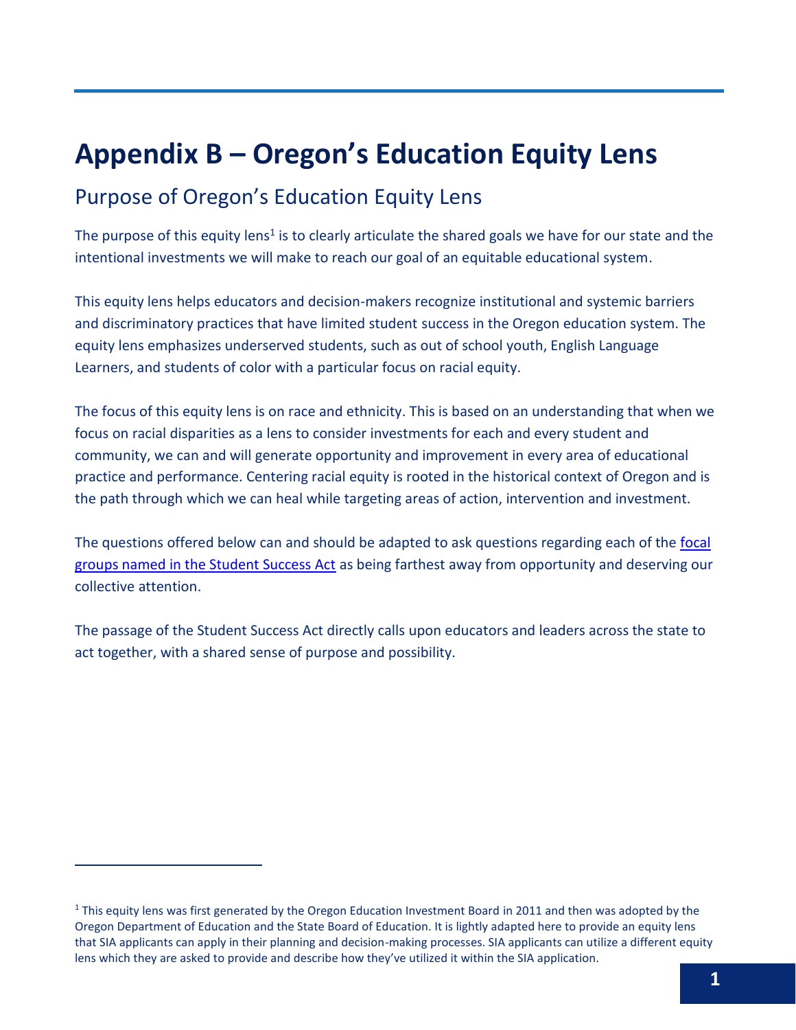## **Appendix B – Oregon's Education Equity Lens**

## Purpose of Oregon's Education Equity Lens

The purpose of this equity lens<sup>1</sup> is to clearly articulate the shared goals we have for our state and the intentional investments we will make to reach our goal of an equitable educational system.

This equity lens helps educators and decision-makers recognize institutional and systemic barriers and discriminatory practices that have limited student success in the Oregon education system. The equity lens emphasizes underserved students, such as out of school youth, English Language Learners, and students of color with a particular focus on racial equity.

The focus of this equity lens is on race and ethnicity. This is based on an understanding that when we focus on racial disparities as a lens to consider investments for each and every student and community, we can and will generate opportunity and improvement in every area of educational practice and performance. Centering racial equity is rooted in the historical context of Oregon and is the path through which we can heal while targeting areas of action, intervention and investment.

The questions offered below can and should be adapted to ask questions regarding each of the focal [groups named in the Student Success Act](https://www.oregon.gov/ode/about-us/Documents/HB%203427%20Student%20Investment%20Account.pdf) as being farthest away from opportunity and deserving our collective attention.

The passage of the Student Success Act directly calls upon educators and leaders across the state to act together, with a shared sense of purpose and possibility.

 $1$  This equity lens was first generated by the Oregon Education Investment Board in 2011 and then was adopted by the Oregon Department of Education and the State Board of Education. It is lightly adapted here to provide an equity lens that SIA applicants can apply in their planning and decision-making processes. SIA applicants can utilize a different equity lens which they are asked to provide and describe how they've utilized it within the SIA application.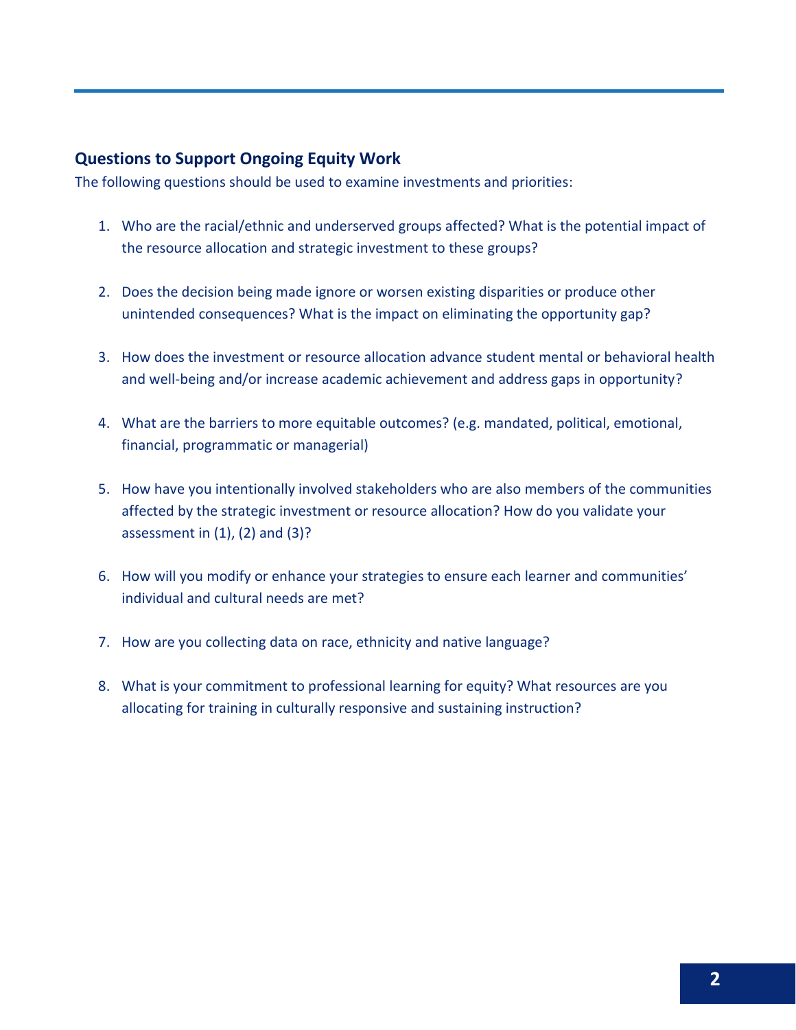## **Questions to Support Ongoing Equity Work**

The following questions should be used to examine investments and priorities:

- 1. Who are the racial/ethnic and underserved groups affected? What is the potential impact of the resource allocation and strategic investment to these groups?
- 2. Does the decision being made ignore or worsen existing disparities or produce other unintended consequences? What is the impact on eliminating the opportunity gap?
- 3. How does the investment or resource allocation advance student mental or behavioral health and well-being and/or increase academic achievement and address gaps in opportunity?
- 4. What are the barriers to more equitable outcomes? (e.g. mandated, political, emotional, financial, programmatic or managerial)
- 5. How have you intentionally involved stakeholders who are also members of the communities affected by the strategic investment or resource allocation? How do you validate your assessment in  $(1)$ ,  $(2)$  and  $(3)$ ?
- 6. How will you modify or enhance your strategies to ensure each learner and communities' individual and cultural needs are met?
- 7. How are you collecting data on race, ethnicity and native language?
- 8. What is your commitment to professional learning for equity? What resources are you allocating for training in culturally responsive and sustaining instruction?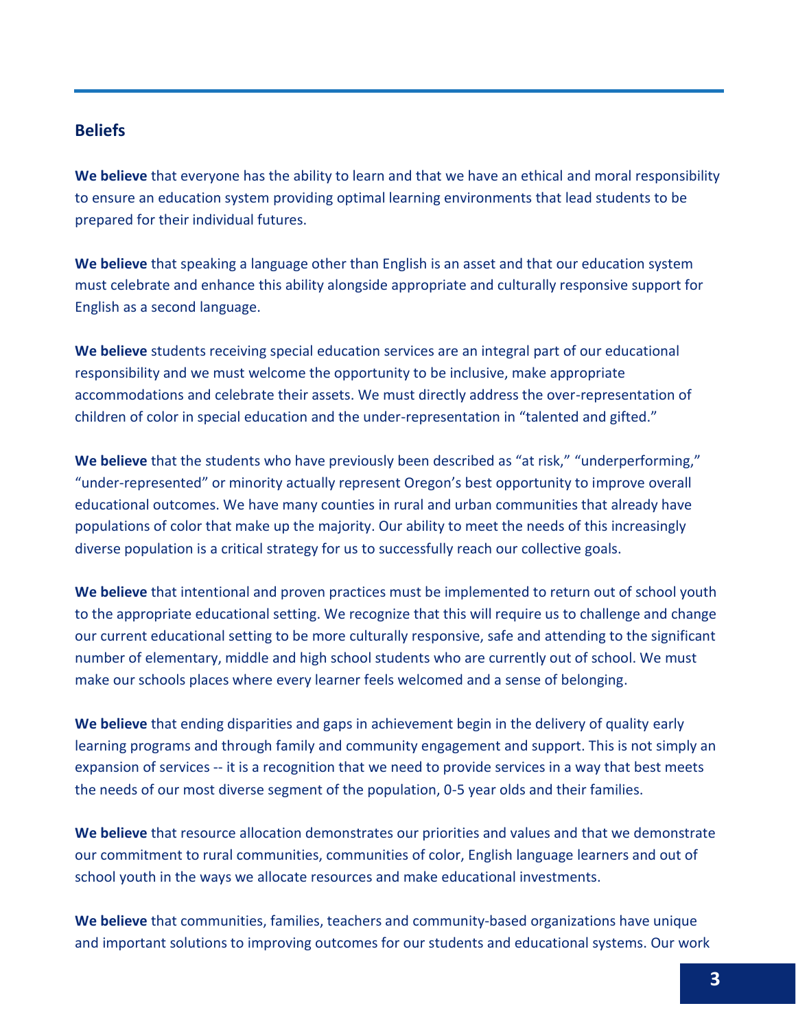## **Beliefs**

**We believe** that everyone has the ability to learn and that we have an ethical and moral responsibility to ensure an education system providing optimal learning environments that lead students to be prepared for their individual futures.

**We believe** that speaking a language other than English is an asset and that our education system must celebrate and enhance this ability alongside appropriate and culturally responsive support for English as a second language.

**We believe** students receiving special education services are an integral part of our educational responsibility and we must welcome the opportunity to be inclusive, make appropriate accommodations and celebrate their assets. We must directly address the over-representation of children of color in special education and the under-representation in "talented and gifted."

**We believe** that the students who have previously been described as "at risk," "underperforming," "under-represented" or minority actually represent Oregon's best opportunity to improve overall educational outcomes. We have many counties in rural and urban communities that already have populations of color that make up the majority. Our ability to meet the needs of this increasingly diverse population is a critical strategy for us to successfully reach our collective goals.

**We believe** that intentional and proven practices must be implemented to return out of school youth to the appropriate educational setting. We recognize that this will require us to challenge and change our current educational setting to be more culturally responsive, safe and attending to the significant number of elementary, middle and high school students who are currently out of school. We must make our schools places where every learner feels welcomed and a sense of belonging.

**We believe** that ending disparities and gaps in achievement begin in the delivery of quality early learning programs and through family and community engagement and support. This is not simply an expansion of services -- it is a recognition that we need to provide services in a way that best meets the needs of our most diverse segment of the population, 0-5 year olds and their families.

**We believe** that resource allocation demonstrates our priorities and values and that we demonstrate our commitment to rural communities, communities of color, English language learners and out of school youth in the ways we allocate resources and make educational investments.

**We believe** that communities, families, teachers and community-based organizations have unique and important solutions to improving outcomes for our students and educational systems. Our work